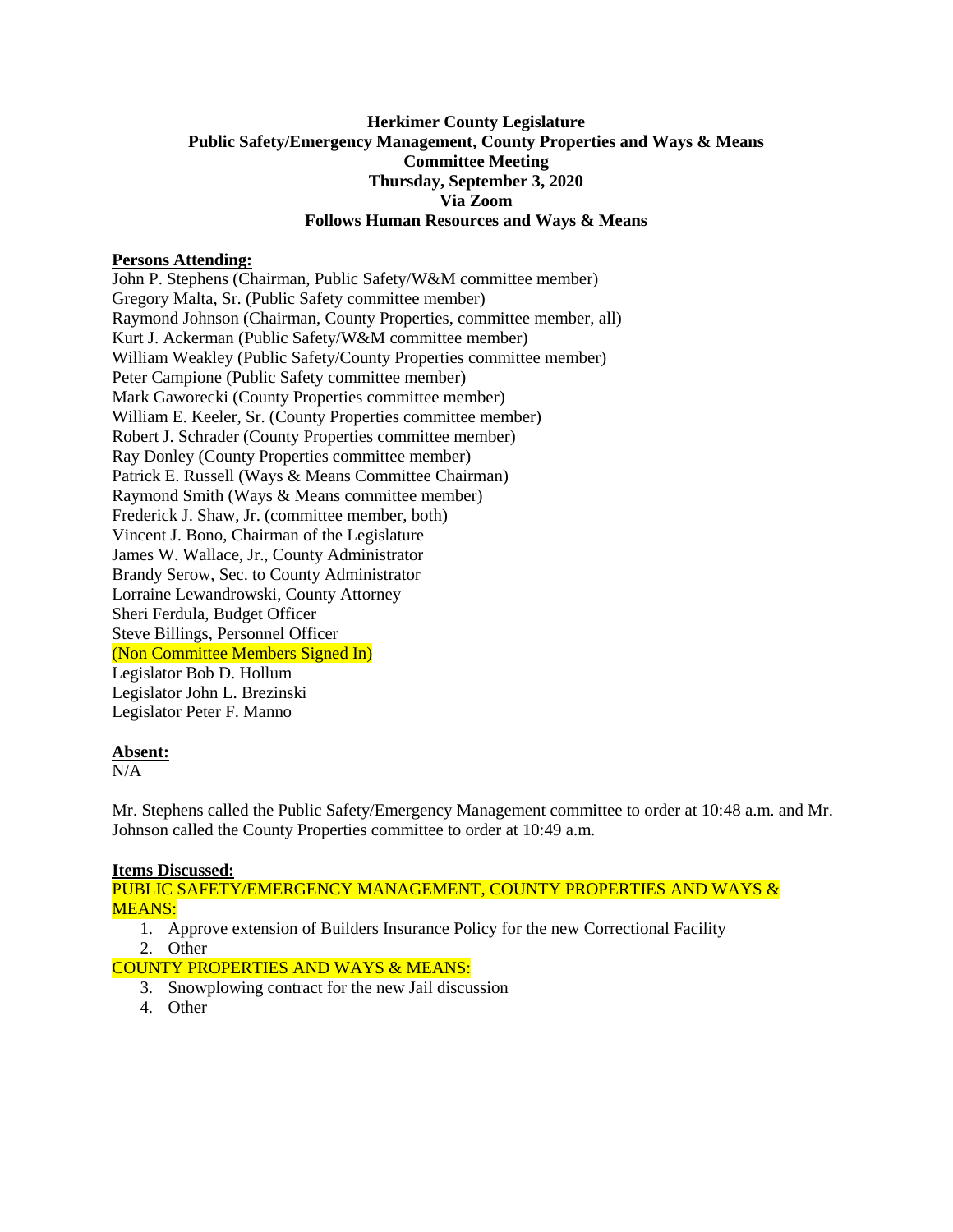# **Herkimer County Legislature Public Safety/Emergency Management, County Properties and Ways & Means Committee Meeting Thursday, September 3, 2020 Via Zoom Follows Human Resources and Ways & Means**

# **Persons Attending:**

John P. Stephens (Chairman, Public Safety/W&M committee member) Gregory Malta, Sr. (Public Safety committee member) Raymond Johnson (Chairman, County Properties, committee member, all) Kurt J. Ackerman (Public Safety/W&M committee member) William Weakley (Public Safety/County Properties committee member) Peter Campione (Public Safety committee member) Mark Gaworecki (County Properties committee member) William E. Keeler, Sr. (County Properties committee member) Robert J. Schrader (County Properties committee member) Ray Donley (County Properties committee member) Patrick E. Russell (Ways & Means Committee Chairman) Raymond Smith (Ways & Means committee member) Frederick J. Shaw, Jr. (committee member, both) Vincent J. Bono, Chairman of the Legislature James W. Wallace, Jr., County Administrator Brandy Serow, Sec. to County Administrator Lorraine Lewandrowski, County Attorney Sheri Ferdula, Budget Officer Steve Billings, Personnel Officer (Non Committee Members Signed In) Legislator Bob D. Hollum Legislator John L. Brezinski Legislator Peter F. Manno

## **Absent:**

 $\overline{\text{N/A}}$ 

Mr. Stephens called the Public Safety/Emergency Management committee to order at 10:48 a.m. and Mr. Johnson called the County Properties committee to order at 10:49 a.m.

# **Items Discussed:**

PUBLIC SAFETY/EMERGENCY MANAGEMENT, COUNTY PROPERTIES AND WAYS & MEANS:

1. Approve extension of Builders Insurance Policy for the new Correctional Facility 2. Other

COUNTY PROPERTIES AND WAYS & MEANS:

- 3. Snowplowing contract for the new Jail discussion
- 4. Other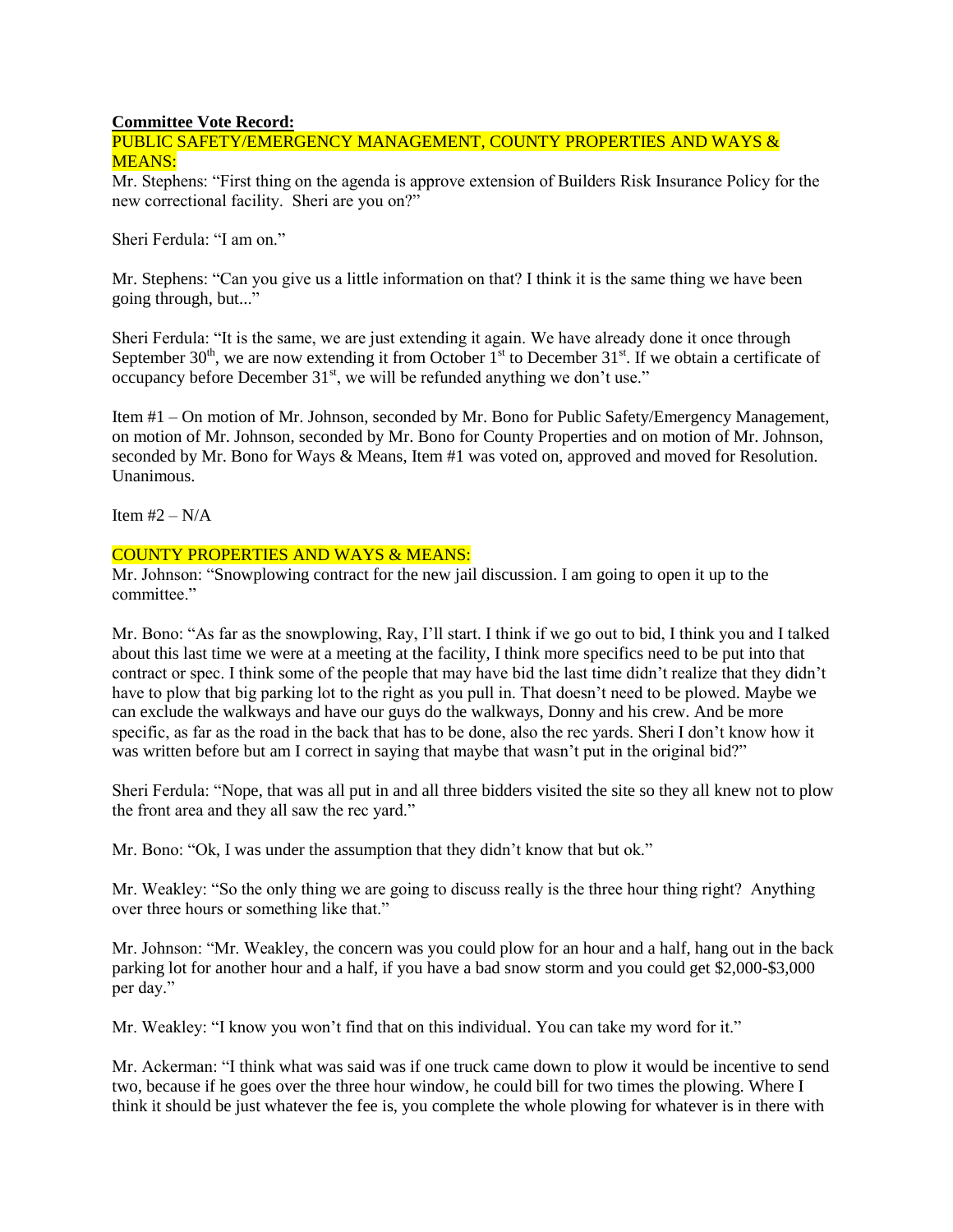### **Committee Vote Record:**

## PUBLIC SAFETY/EMERGENCY MANAGEMENT, COUNTY PROPERTIES AND WAYS & MEANS:

Mr. Stephens: "First thing on the agenda is approve extension of Builders Risk Insurance Policy for the new correctional facility. Sheri are you on?"

Sheri Ferdula: "I am on."

Mr. Stephens: "Can you give us a little information on that? I think it is the same thing we have been going through, but..."

Sheri Ferdula: "It is the same, we are just extending it again. We have already done it once through September  $30<sup>th</sup>$ , we are now extending it from October  $1<sup>st</sup>$  to December  $31<sup>st</sup>$ . If we obtain a certificate of occupancy before December  $31<sup>st</sup>$ , we will be refunded anything we don't use."

Item #1 – On motion of Mr. Johnson, seconded by Mr. Bono for Public Safety/Emergency Management, on motion of Mr. Johnson, seconded by Mr. Bono for County Properties and on motion of Mr. Johnson, seconded by Mr. Bono for Ways & Means, Item #1 was voted on, approved and moved for Resolution. Unanimous.

Item  $#2 - N/A$ 

### COUNTY PROPERTIES AND WAYS & MEANS:

Mr. Johnson: "Snowplowing contract for the new jail discussion. I am going to open it up to the committee."

Mr. Bono: "As far as the snowplowing, Ray, I'll start. I think if we go out to bid, I think you and I talked about this last time we were at a meeting at the facility, I think more specifics need to be put into that contract or spec. I think some of the people that may have bid the last time didn't realize that they didn't have to plow that big parking lot to the right as you pull in. That doesn't need to be plowed. Maybe we can exclude the walkways and have our guys do the walkways, Donny and his crew. And be more specific, as far as the road in the back that has to be done, also the rec yards. Sheri I don't know how it was written before but am I correct in saying that maybe that wasn't put in the original bid?"

Sheri Ferdula: "Nope, that was all put in and all three bidders visited the site so they all knew not to plow the front area and they all saw the rec yard."

Mr. Bono: "Ok, I was under the assumption that they didn't know that but ok."

Mr. Weakley: "So the only thing we are going to discuss really is the three hour thing right? Anything over three hours or something like that."

Mr. Johnson: "Mr. Weakley, the concern was you could plow for an hour and a half, hang out in the back parking lot for another hour and a half, if you have a bad snow storm and you could get \$2,000-\$3,000 per day."

Mr. Weakley: "I know you won't find that on this individual. You can take my word for it."

Mr. Ackerman: "I think what was said was if one truck came down to plow it would be incentive to send two, because if he goes over the three hour window, he could bill for two times the plowing. Where I think it should be just whatever the fee is, you complete the whole plowing for whatever is in there with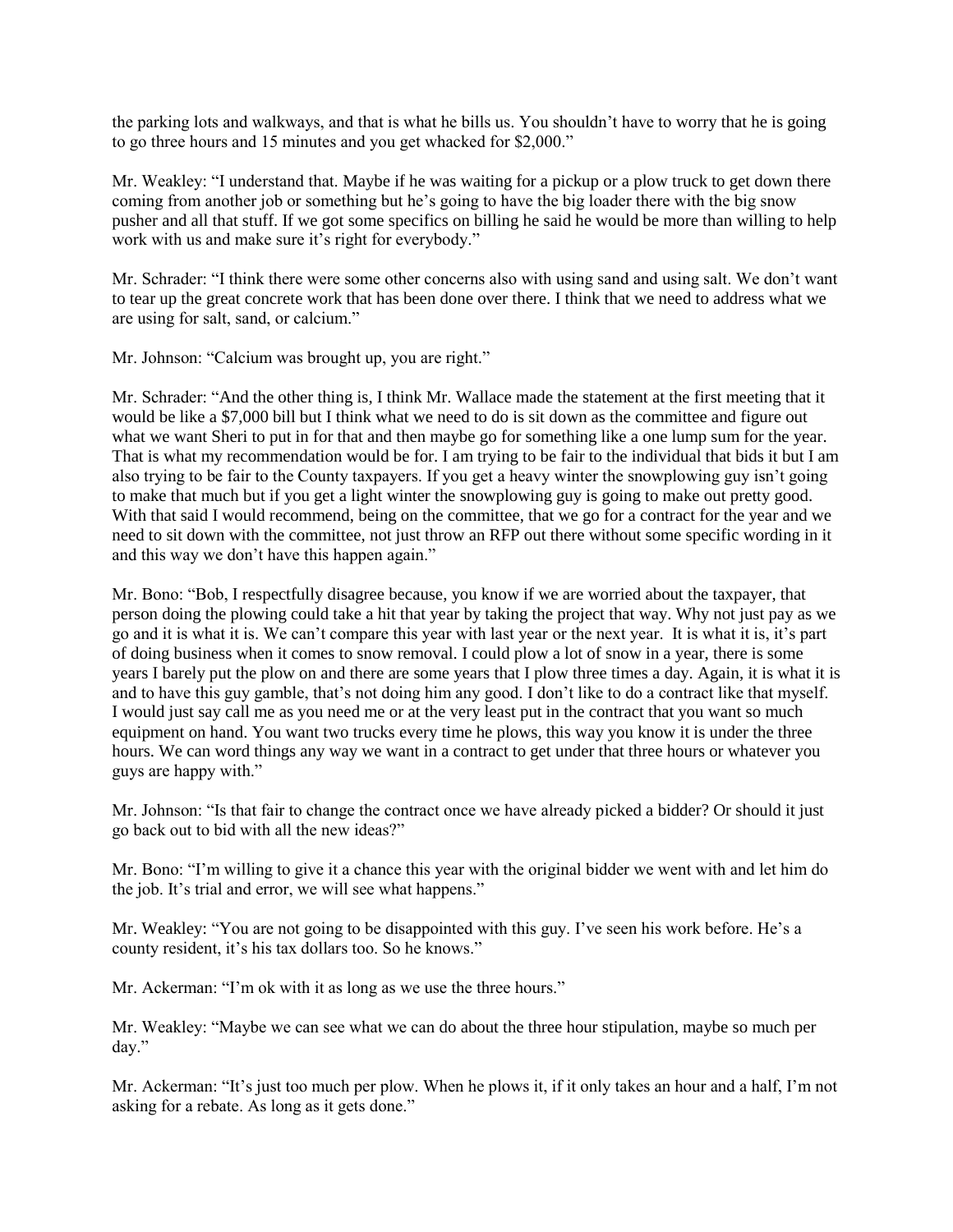the parking lots and walkways, and that is what he bills us. You shouldn't have to worry that he is going to go three hours and 15 minutes and you get whacked for \$2,000."

Mr. Weakley: "I understand that. Maybe if he was waiting for a pickup or a plow truck to get down there coming from another job or something but he's going to have the big loader there with the big snow pusher and all that stuff. If we got some specifics on billing he said he would be more than willing to help work with us and make sure it's right for everybody."

Mr. Schrader: "I think there were some other concerns also with using sand and using salt. We don't want to tear up the great concrete work that has been done over there. I think that we need to address what we are using for salt, sand, or calcium."

Mr. Johnson: "Calcium was brought up, you are right."

Mr. Schrader: "And the other thing is, I think Mr. Wallace made the statement at the first meeting that it would be like a \$7,000 bill but I think what we need to do is sit down as the committee and figure out what we want Sheri to put in for that and then maybe go for something like a one lump sum for the year. That is what my recommendation would be for. I am trying to be fair to the individual that bids it but I am also trying to be fair to the County taxpayers. If you get a heavy winter the snowplowing guy isn't going to make that much but if you get a light winter the snowplowing guy is going to make out pretty good. With that said I would recommend, being on the committee, that we go for a contract for the year and we need to sit down with the committee, not just throw an RFP out there without some specific wording in it and this way we don't have this happen again."

Mr. Bono: "Bob, I respectfully disagree because, you know if we are worried about the taxpayer, that person doing the plowing could take a hit that year by taking the project that way. Why not just pay as we go and it is what it is. We can't compare this year with last year or the next year. It is what it is, it's part of doing business when it comes to snow removal. I could plow a lot of snow in a year, there is some years I barely put the plow on and there are some years that I plow three times a day. Again, it is what it is and to have this guy gamble, that's not doing him any good. I don't like to do a contract like that myself. I would just say call me as you need me or at the very least put in the contract that you want so much equipment on hand. You want two trucks every time he plows, this way you know it is under the three hours. We can word things any way we want in a contract to get under that three hours or whatever you guys are happy with."

Mr. Johnson: "Is that fair to change the contract once we have already picked a bidder? Or should it just go back out to bid with all the new ideas?"

Mr. Bono: "I'm willing to give it a chance this year with the original bidder we went with and let him do the job. It's trial and error, we will see what happens."

Mr. Weakley: "You are not going to be disappointed with this guy. I've seen his work before. He's a county resident, it's his tax dollars too. So he knows."

Mr. Ackerman: "I'm ok with it as long as we use the three hours."

Mr. Weakley: "Maybe we can see what we can do about the three hour stipulation, maybe so much per day."

Mr. Ackerman: "It's just too much per plow. When he plows it, if it only takes an hour and a half, I'm not asking for a rebate. As long as it gets done."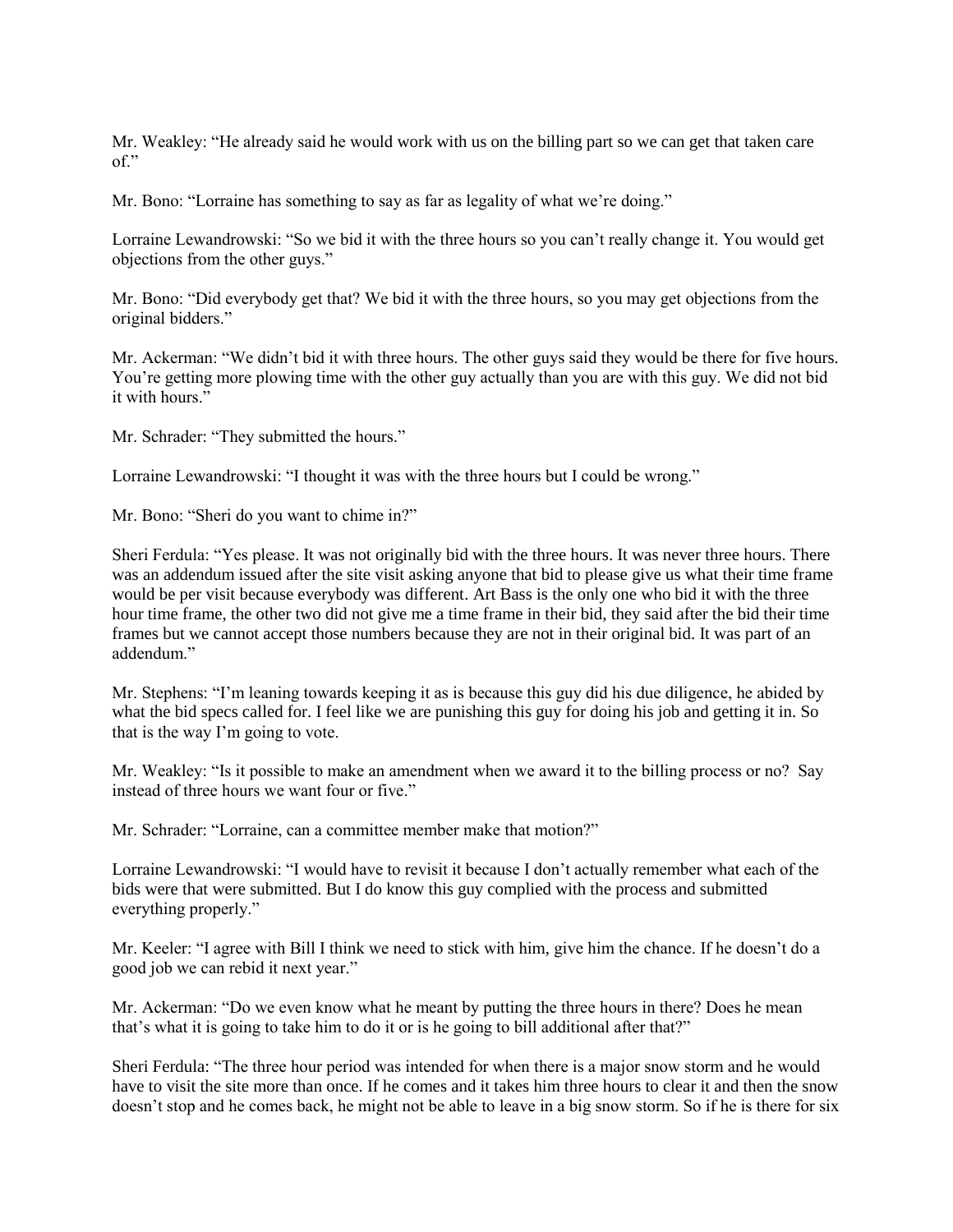Mr. Weakley: "He already said he would work with us on the billing part so we can get that taken care of."

Mr. Bono: "Lorraine has something to say as far as legality of what we're doing."

Lorraine Lewandrowski: "So we bid it with the three hours so you can't really change it. You would get objections from the other guys."

Mr. Bono: "Did everybody get that? We bid it with the three hours, so you may get objections from the original bidders."

Mr. Ackerman: "We didn't bid it with three hours. The other guys said they would be there for five hours. You're getting more plowing time with the other guy actually than you are with this guy. We did not bid it with hours."

Mr. Schrader: "They submitted the hours."

Lorraine Lewandrowski: "I thought it was with the three hours but I could be wrong."

Mr. Bono: "Sheri do you want to chime in?"

Sheri Ferdula: "Yes please. It was not originally bid with the three hours. It was never three hours. There was an addendum issued after the site visit asking anyone that bid to please give us what their time frame would be per visit because everybody was different. Art Bass is the only one who bid it with the three hour time frame, the other two did not give me a time frame in their bid, they said after the bid their time frames but we cannot accept those numbers because they are not in their original bid. It was part of an addendum."

Mr. Stephens: "I'm leaning towards keeping it as is because this guy did his due diligence, he abided by what the bid specs called for. I feel like we are punishing this guy for doing his job and getting it in. So that is the way I'm going to vote.

Mr. Weakley: "Is it possible to make an amendment when we award it to the billing process or no? Say instead of three hours we want four or five."

Mr. Schrader: "Lorraine, can a committee member make that motion?"

Lorraine Lewandrowski: "I would have to revisit it because I don't actually remember what each of the bids were that were submitted. But I do know this guy complied with the process and submitted everything properly."

Mr. Keeler: "I agree with Bill I think we need to stick with him, give him the chance. If he doesn't do a good job we can rebid it next year."

Mr. Ackerman: "Do we even know what he meant by putting the three hours in there? Does he mean that's what it is going to take him to do it or is he going to bill additional after that?"

Sheri Ferdula: "The three hour period was intended for when there is a major snow storm and he would have to visit the site more than once. If he comes and it takes him three hours to clear it and then the snow doesn't stop and he comes back, he might not be able to leave in a big snow storm. So if he is there for six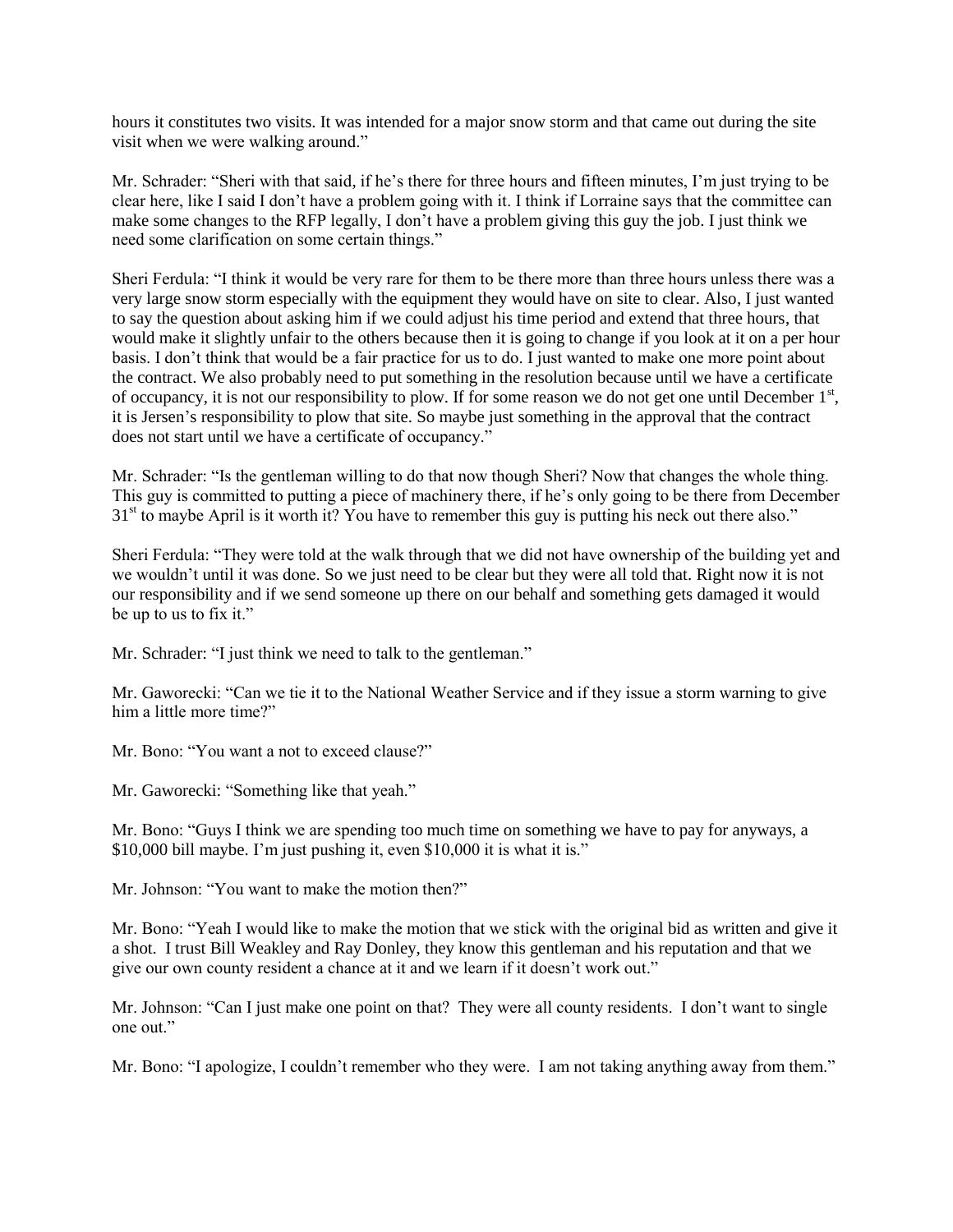hours it constitutes two visits. It was intended for a major snow storm and that came out during the site visit when we were walking around."

Mr. Schrader: "Sheri with that said, if he's there for three hours and fifteen minutes, I'm just trying to be clear here, like I said I don't have a problem going with it. I think if Lorraine says that the committee can make some changes to the RFP legally, I don't have a problem giving this guy the job. I just think we need some clarification on some certain things."

Sheri Ferdula: "I think it would be very rare for them to be there more than three hours unless there was a very large snow storm especially with the equipment they would have on site to clear. Also, I just wanted to say the question about asking him if we could adjust his time period and extend that three hours, that would make it slightly unfair to the others because then it is going to change if you look at it on a per hour basis. I don't think that would be a fair practice for us to do. I just wanted to make one more point about the contract. We also probably need to put something in the resolution because until we have a certificate of occupancy, it is not our responsibility to plow. If for some reason we do not get one until December  $1<sup>st</sup>$ , it is Jersen's responsibility to plow that site. So maybe just something in the approval that the contract does not start until we have a certificate of occupancy."

Mr. Schrader: "Is the gentleman willing to do that now though Sheri? Now that changes the whole thing. This guy is committed to putting a piece of machinery there, if he's only going to be there from December 31<sup>st</sup> to maybe April is it worth it? You have to remember this guy is putting his neck out there also."

Sheri Ferdula: "They were told at the walk through that we did not have ownership of the building yet and we wouldn't until it was done. So we just need to be clear but they were all told that. Right now it is not our responsibility and if we send someone up there on our behalf and something gets damaged it would be up to us to fix it."

Mr. Schrader: "I just think we need to talk to the gentleman."

Mr. Gaworecki: "Can we tie it to the National Weather Service and if they issue a storm warning to give him a little more time?"

Mr. Bono: "You want a not to exceed clause?"

Mr. Gaworecki: "Something like that yeah."

Mr. Bono: "Guys I think we are spending too much time on something we have to pay for anyways, a \$10,000 bill maybe. I'm just pushing it, even \$10,000 it is what it is."

Mr. Johnson: "You want to make the motion then?"

Mr. Bono: "Yeah I would like to make the motion that we stick with the original bid as written and give it a shot. I trust Bill Weakley and Ray Donley, they know this gentleman and his reputation and that we give our own county resident a chance at it and we learn if it doesn't work out."

Mr. Johnson: "Can I just make one point on that? They were all county residents. I don't want to single one out."

Mr. Bono: "I apologize, I couldn't remember who they were. I am not taking anything away from them."